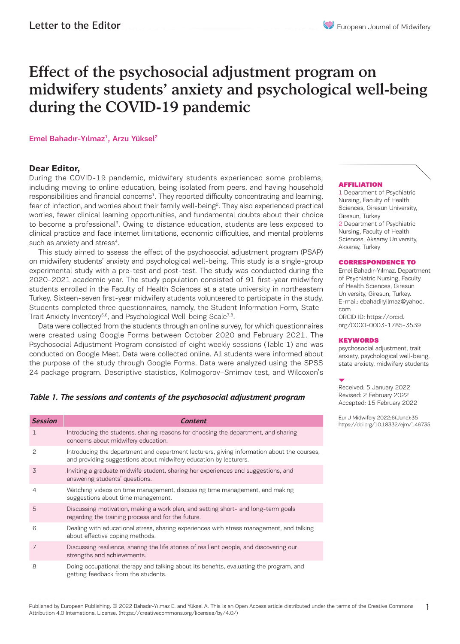# Effect of the psychosocial adjustment program on midwifery students' anxiety and psychological well-being during the COVID-19 pandemic

# Emel Bahadır-Yılmaz<sup>1</sup>, Arzu Yüksel<sup>2</sup>

# **Dear Editor,**

During the COVID-19 pandemic, midwifery students experienced some problems, including moving to online education, being isolated from peers, and having household responsibilities and financial concerns<sup>1</sup>. They reported difficulty concentrating and learning, fear of infection, and worries about their family well-being<sup>2</sup>. They also experienced practical worries, fewer clinical learning opportunities, and fundamental doubts about their choice to become a professional<sup>3</sup>. Owing to distance education, students are less exposed to clinical practice and face internet limitations, economic difficulties, and mental problems such as anxiety and stress<sup>4</sup>.

This study aimed to assess the effect of the psychosocial adjustment program (PSAP) on midwifery students' anxiety and psychological well-being. This study is a single-group experimental study with a pre-test and post-test. The study was conducted during the 2020–2021 academic year. The study population consisted of 91 first-year midwifery students enrolled in the Faculty of Health Sciences at a state university in northeastern Turkey. Sixteen-seven first-year midwifery students volunteered to participate in the study. Students completed three questionnaires, namely, the Student Information Form, State– Trait Anxiety Inventory<sup>5,6</sup>, and Psychological Well-being Scale<sup>7,8</sup>.

Data were collected from the students through an online survey, for which questionnaires were created using Google Forms between October 2020 and February 2021. The Psychosocial Adjustment Program consisted of eight weekly sessions (Table 1) and was conducted on Google Meet. Data were collected online. All students were informed about the purpose of the study through Google Forms. Data were analyzed using the SPSS 24 package program. Descriptive statistics, Kolmogorov–Smirnov test, and Wilcoxon's

# *Table 1. The sessions and contents of the psychosocial adjustment program*

| <b>Session</b> | <b>Content</b>                                                                                                                                                  |
|----------------|-----------------------------------------------------------------------------------------------------------------------------------------------------------------|
| $\mathbf{1}$   | Introducing the students, sharing reasons for choosing the department, and sharing<br>concerns about midwifery education.                                       |
| 2              | Introducing the department and department lecturers, giving information about the courses,<br>and providing suggestions about midwifery education by lecturers. |
| 3              | Inviting a graduate midwife student, sharing her experiences and suggestions, and<br>answering students' questions.                                             |
| $\overline{4}$ | Watching videos on time management, discussing time management, and making<br>suggestions about time management.                                                |
| 5              | Discussing motivation, making a work plan, and setting short- and long-term goals<br>regarding the training process and for the future.                         |
| 6              | Dealing with educational stress, sharing experiences with stress management, and talking<br>about effective coping methods.                                     |
| 7              | Discussing resilience, sharing the life stories of resilient people, and discovering our<br>strengths and achievements.                                         |
| 8              | Doing occupational therapy and talking about its benefits, evaluating the program, and<br>getting feedback from the students.                                   |

# AFFILIATION

1 Department of Psychiatric Nursing, Faculty of Health Sciences, Giresun University, Giresun, Turkey 2 Department of Psychiatric Nursing, Faculty of Health Sciences, Aksaray University, Aksaray, Turkey

#### CORRESPONDENCE TO

Emel Bahadır-Yılmaz. Department of Psychiatric Nursing, Faculty of Health Sciences, Giresun University, Giresun, Turkey. E-mail: ebahadiryilmaz@yahoo. com ORCID ID: https://orcid. org/0000-0003-1785-3539

# **KEYWORDS**

psychosocial adjustment, trait anxiety, psychological well-being, state anxiety, midwifery students

Received: 5 January 2022 Revised: 2 February 2022 Accepted: 15 February 2022

Eur J Midwifery 2022;6(June):35 https://doi.org/10.18332/ejm/146735

1